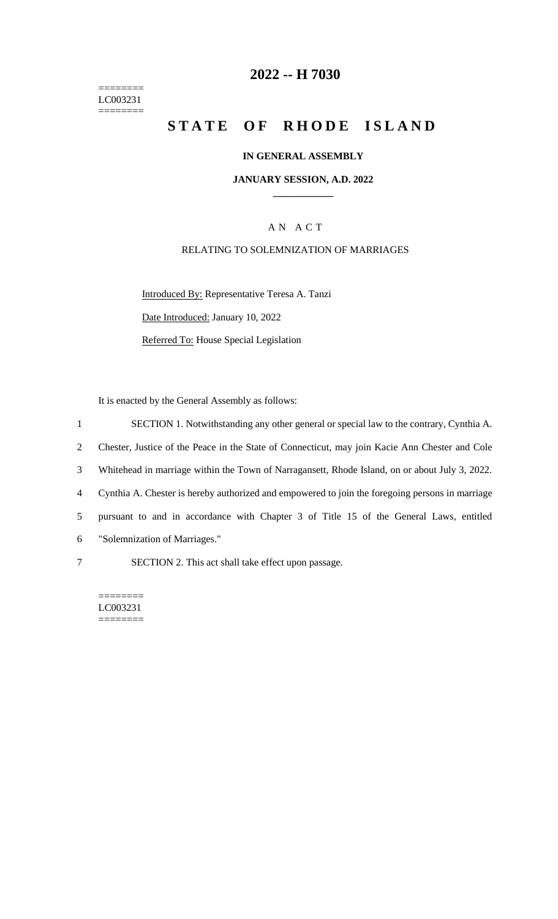======== LC003231  $=$ 

## **2022 -- H 7030**

# **STATE OF RHODE ISLAND**

#### **IN GENERAL ASSEMBLY**

#### **JANUARY SESSION, A.D. 2022 \_\_\_\_\_\_\_\_\_\_\_\_**

### A N A C T

#### RELATING TO SOLEMNIZATION OF MARRIAGES

Introduced By: Representative Teresa A. Tanzi Date Introduced: January 10, 2022 Referred To: House Special Legislation

It is enacted by the General Assembly as follows:

 SECTION 1. Notwithstanding any other general or special law to the contrary, Cynthia A. Chester, Justice of the Peace in the State of Connecticut, may join Kacie Ann Chester and Cole Whitehead in marriage within the Town of Narragansett, Rhode Island, on or about July 3, 2022. Cynthia A. Chester is hereby authorized and empowered to join the foregoing persons in marriage pursuant to and in accordance with Chapter 3 of Title 15 of the General Laws, entitled "Solemnization of Marriages." SECTION 2. This act shall take effect upon passage.

LC003231 ========

========